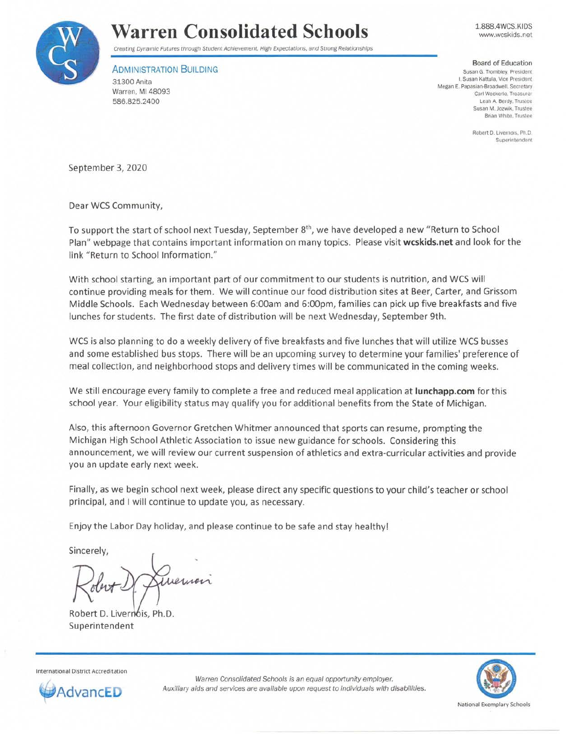

## **Warren Consolidated Schools**

1.888.4WCS.KIDS www.wcskids.net

Creating Dynamic Futures through Student Achievement. High Expectations, and Strong Relationships

ADMINISTRATION BUILDING 31300 Anita

Warren. Ml 48093 586.825.2400

Board of Education

Susan G. Trombley, President I. **Susan Kattula , Vice President**  Megan E. Papasian-Broadwell, Secretary Carl Weckerle, Treasurer **Leah A. Berdy, Truslee Susan M. Jozwik. Trustee Brian White, Trustee** 

> **Robert D. Livernois**, Ph.D. **Superintendent**

September 3, 2020

Dear WCS Community,

To support the start of school next Tuesday, September 8<sup>th</sup>, we have developed a new "Return to School Plan11 webpage that contains important information on many topics. Please visit **wcskids.net** and look for the link "Return to School Information."

With school starting, an important part of our commitment to our students is nutrition, and WCS will continue providing meals for them. We will continue our food distribution sites at Beer, Carter, and Grissom Middle Schools. Each Wednesday between 6:00am and 6:00pm, families can pick up five breakfasts and five lunches for students. The first date of distribution will be next Wednesday, September 9th.

WCS is also planning to do a weekly delivery of five breakfasts and five lunches that will utilize WCS busses and some established bus stops. There will be an upcoming survey to determine your families' preference of meal collection, and neighborhood stops and delivery times will be communicated in the coming weeks.

We still encourage every family to complete a free and reduced meal application at **lunchapp.com** for this school year. Your eligibility status may qualify you for additional benefits from the State of Michigan.

Also, this afternoon Governor Gretchen Whitmer announced that sports can resume, prompting the Michigan High School Athletic Association to issue new guidance for schools. Considering this announcement, we will review our current suspension of athletics and extra-curricular activities and provide you an update early next week.

Finally, as we begin school next week, please direct any specific questions to your child's teacher or school principal, and I will continue to update you, as necessary.

Enjoy the Labor Day holiday, and please continue to be safe and stay healthy!

Sincerely,

Robert D. Livernois, Ph.D. Superintendent

National Exemplary Schools

International District Accreditation



Warren Consolidated Schools is an equal opportunity employer. AdvancED Auxiliary aids and services are available upon request to individuals with disabilities.